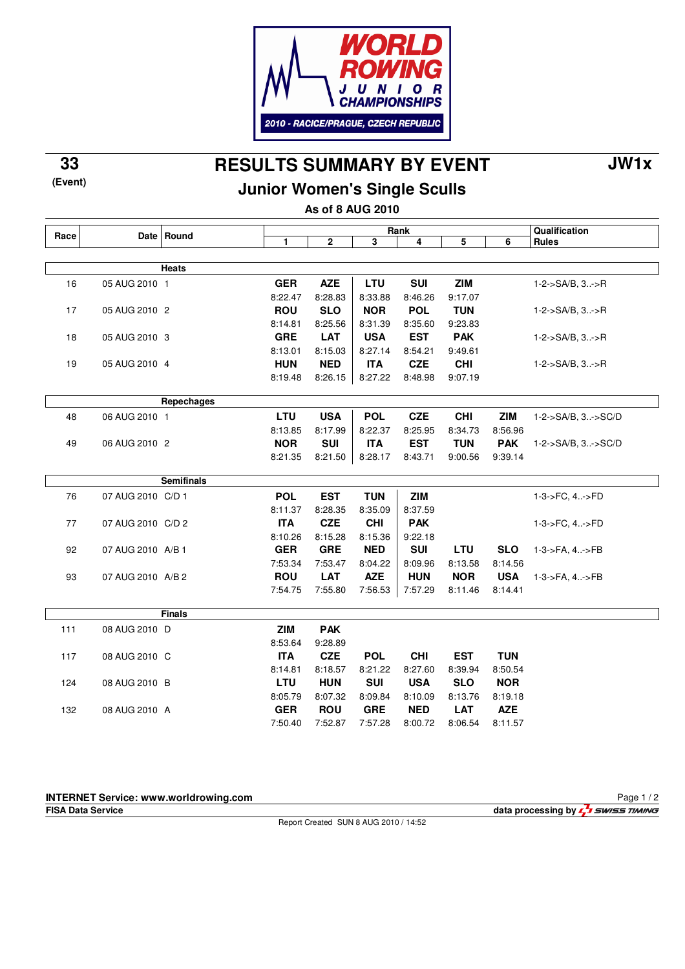

**RESULTS SUMMARY BY EVENT 33 JW1x**

**Junior Women's Single Sculls**

**As of 8 AUG 2010**

|      |                   | Date Round        | Rank         |              |            |            |            |            | Qualification               |
|------|-------------------|-------------------|--------------|--------------|------------|------------|------------|------------|-----------------------------|
| Race |                   |                   | $\mathbf{1}$ | $\mathbf{2}$ | 3          | 4          | 5          | 6          | <b>Rules</b>                |
|      |                   |                   |              |              |            |            |            |            |                             |
|      |                   | <b>Heats</b>      |              |              |            |            |            |            |                             |
| 16   | 05 AUG 2010 1     |                   | <b>GER</b>   | <b>AZE</b>   | <b>LTU</b> | <b>SUI</b> | <b>ZIM</b> |            | $1 - 2 - S A/B$ , $3 - S R$ |
|      |                   |                   | 8:22.47      | 8:28.83      | 8:33.88    | 8:46.26    | 9:17.07    |            |                             |
| 17   | 05 AUG 2010 2     |                   | <b>ROU</b>   | <b>SLO</b>   | <b>NOR</b> | <b>POL</b> | <b>TUN</b> |            | $1 - 2 - S A/B$ , $3 - S R$ |
|      |                   |                   | 8:14.81      | 8:25.56      | 8:31.39    | 8:35.60    | 9:23.83    |            |                             |
| 18   | 05 AUG 2010 3     |                   | <b>GRE</b>   | <b>LAT</b>   | <b>USA</b> | <b>EST</b> | <b>PAK</b> |            | $1 - 2 - S A/B$ , $3 - S R$ |
|      |                   |                   | 8:13.01      | 8:15.03      | 8:27.14    | 8:54.21    | 9:49.61    |            |                             |
| 19   | 05 AUG 2010 4     |                   | <b>HUN</b>   | <b>NED</b>   | <b>ITA</b> | <b>CZE</b> | <b>CHI</b> |            | 1-2->SA/B, 3->R             |
|      |                   |                   | 8:19.48      | 8:26.15      | 8:27.22    | 8:48.98    | 9:07.19    |            |                             |
|      |                   |                   |              |              |            |            |            |            |                             |
|      |                   | Repechages        |              |              |            |            |            |            |                             |
| 48   | 06 AUG 2010 1     |                   | <b>LTU</b>   | <b>USA</b>   | <b>POL</b> | <b>CZE</b> | <b>CHI</b> | <b>ZIM</b> | 1-2->SA/B, 3->SC/D          |
|      |                   |                   | 8:13.85      | 8:17.99      | 8:22.37    | 8:25.95    | 8:34.73    | 8:56.96    |                             |
| 49   | 06 AUG 2010 2     |                   | <b>NOR</b>   | <b>SUI</b>   | <b>ITA</b> | <b>EST</b> | <b>TUN</b> | <b>PAK</b> | 1-2->SA/B, 3->SC/D          |
|      |                   |                   | 8:21.35      | 8:21.50      | 8:28.17    | 8:43.71    | 9:00.56    | 9:39.14    |                             |
|      |                   |                   |              |              |            |            |            |            |                             |
|      |                   | <b>Semifinals</b> |              |              |            |            |            |            |                             |
| 76   | 07 AUG 2010 C/D 1 |                   | <b>POL</b>   | <b>EST</b>   | <b>TUN</b> | <b>ZIM</b> |            |            | 1-3->FC, 4->FD              |
|      |                   |                   | 8:11.37      | 8:28.35      | 8:35.09    | 8:37.59    |            |            |                             |
| 77   | 07 AUG 2010 C/D 2 |                   | <b>ITA</b>   | <b>CZE</b>   | <b>CHI</b> | <b>PAK</b> |            |            | 1-3->FC, 4->FD              |
|      |                   |                   | 8:10.26      | 8:15.28      | 8:15.36    | 9:22.18    |            |            |                             |
| 92   | 07 AUG 2010 A/B 1 |                   | <b>GER</b>   | <b>GRE</b>   | <b>NED</b> | <b>SUI</b> | LTU        | <b>SLO</b> | 1-3->FA, 4->FB              |
|      |                   |                   | 7:53.34      | 7:53.47      | 8:04.22    | 8:09.96    | 8:13.58    | 8:14.56    |                             |
| 93   | 07 AUG 2010 A/B 2 |                   | <b>ROU</b>   | <b>LAT</b>   | <b>AZE</b> | <b>HUN</b> | <b>NOR</b> | <b>USA</b> | 1-3->FA, 4->FB              |
|      |                   |                   | 7:54.75      | 7:55.80      | 7:56.53    | 7:57.29    | 8:11.46    | 8:14.41    |                             |
|      |                   |                   |              |              |            |            |            |            |                             |
|      |                   | <b>Finals</b>     |              |              |            |            |            |            |                             |
| 111  | 08 AUG 2010 D     |                   | <b>ZIM</b>   | <b>PAK</b>   |            |            |            |            |                             |
|      |                   |                   | 8:53.64      | 9:28.89      |            |            |            |            |                             |
| 117  | 08 AUG 2010 C     |                   | <b>ITA</b>   | <b>CZE</b>   | <b>POL</b> | <b>CHI</b> | <b>EST</b> | <b>TUN</b> |                             |
|      |                   |                   | 8:14.81      | 8:18.57      | 8:21.22    | 8:27.60    | 8:39.94    | 8:50.54    |                             |
| 124  | 08 AUG 2010 B     |                   | <b>LTU</b>   | <b>HUN</b>   | <b>SUI</b> | <b>USA</b> | <b>SLO</b> | <b>NOR</b> |                             |
|      |                   |                   | 8:05.79      | 8:07.32      | 8:09.84    | 8:10.09    | 8:13.76    | 8:19.18    |                             |
| 132  | 08 AUG 2010 A     |                   | <b>GER</b>   | <b>ROU</b>   | <b>GRE</b> | <b>NED</b> | <b>LAT</b> | <b>AZE</b> |                             |
|      |                   |                   | 7:50.40      | 7:52.87      | 7:57.28    | 8:00.72    | 8:06.54    | 8:11.57    |                             |

## **INTERNET Service: www.worldrowing.com**

**(Event)**

**FISA Data Service data processing by**  $\frac{1}{2}$  **SWISS TIMING** Page 1 / 2